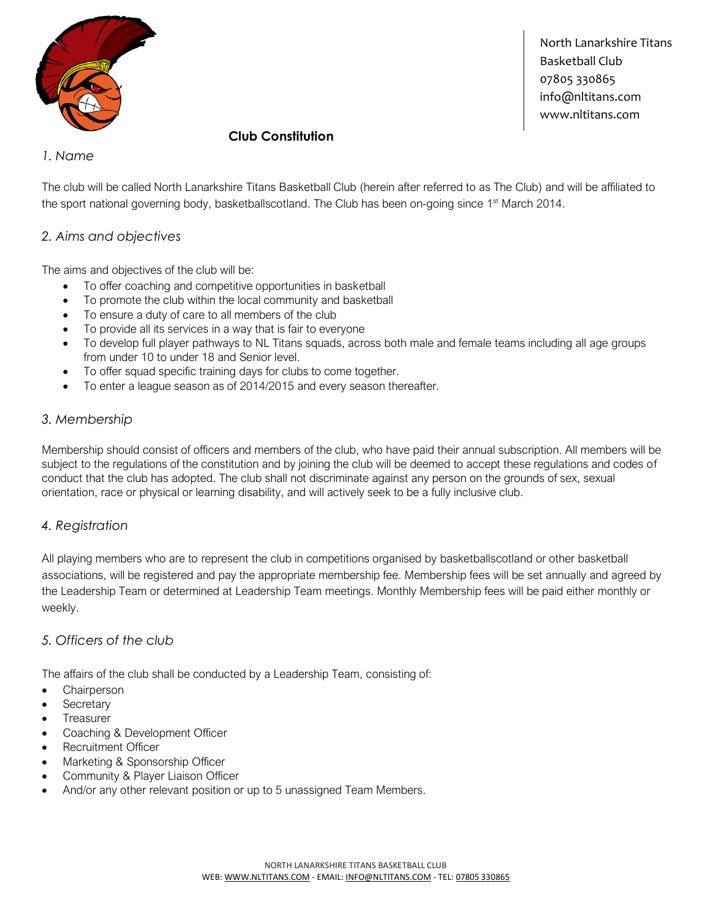

North Lanarkshire Titans Basketball Club 07805 330865 info@nltitans.com www.nltitans.com

# **Club Constitution**

## *1. Name*

The club will be called North Lanarkshire Titans Basketball Club (herein after referred to as The Club) and will be affiliated to the sport national governing body, basketballscotland. The Club has been on-going since 1<sup>st</sup> March 2014.

## *2. Aims and objectives*

The aims and objectives of the club will be:

- To offer coaching and competitive opportunities in basketball
- To promote the club within the local community and basketball
- To ensure a duty of care to all members of the club
- To provide all its services in a way that is fair to everyone
- To develop full player pathways to NL Titans squads, across both male and female teams including all age groups from under 10 to under 18 and Senior level.
- To offer squad specific training days for clubs to come together.
- To enter a league season as of 2014/2015 and every season thereafter.

## *3. Membership*

Membership should consist of officers and members of the club, who have paid their annual subscription. All members will be subject to the regulations of the constitution and by joining the club will be deemed to accept these regulations and codes of conduct that the club has adopted. The club shall not discriminate against any person on the grounds of sex, sexual orientation, race or physical or learning disability, and will actively seek to be a fully inclusive club.

#### *4. Registration*

All playing members who are to represent the club in competitions organised by basketballscotland or other basketball associations, will be registered and pay the appropriate membership fee. Membership fees will be set annually and agreed by the Leadership Team or determined at Leadership Team meetings. Monthly Membership fees will be paid either monthly or weekly.

# *5. Officers of the club*

The affairs of the club shall be conducted by a Leadership Team, consisting of:

- **Chairperson**
- **Secretary**
- **Treasurer**
- Coaching & Development Officer
- Recruitment Officer
- Marketing & Sponsorship Officer
- Community & Player Liaison Officer
- And/or any other relevant position or up to 5 unassigned Team Members.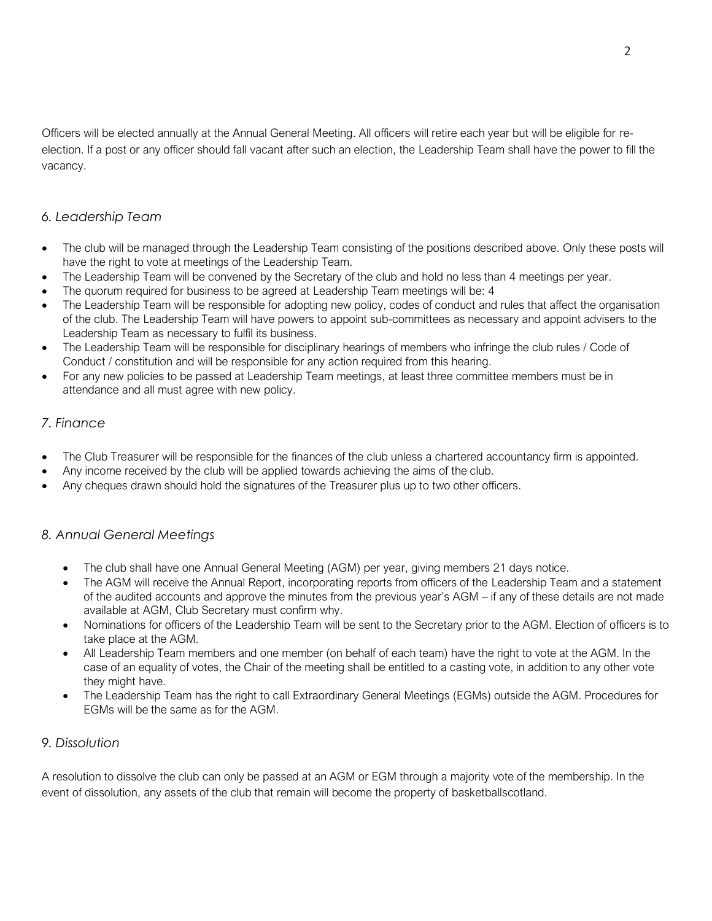Officers will be elected annually at the Annual General Meeting. All officers will retire each year but will be eligible for reelection. If a post or any officer should fall vacant after such an election, the Leadership Team shall have the power to fill the vacancy.

# *6. Leadership Team*

- The club will be managed through the Leadership Team consisting of the positions described above. Only these posts will have the right to vote at meetings of the Leadership Team.
- The Leadership Team will be convened by the Secretary of the club and hold no less than 4 meetings per year.
- The quorum required for business to be agreed at Leadership Team meetings will be: 4
- The Leadership Team will be responsible for adopting new policy, codes of conduct and rules that affect the organisation of the club. The Leadership Team will have powers to appoint sub-committees as necessary and appoint advisers to the Leadership Team as necessary to fulfil its business.
- The Leadership Team will be responsible for disciplinary hearings of members who infringe the club rules / Code of Conduct / constitution and will be responsible for any action required from this hearing.
- For any new policies to be passed at Leadership Team meetings, at least three committee members must be in attendance and all must agree with new policy.

# *7. Finance*

- The Club Treasurer will be responsible for the finances of the club unless a chartered accountancy firm is appointed.
- Any income received by the club will be applied towards achieving the aims of the club.
- Any cheques drawn should hold the signatures of the Treasurer plus up to two other officers.

#### *8. Annual General Meetings*

- The club shall have one Annual General Meeting (AGM) per year, giving members 21 days notice.
- The AGM will receive the Annual Report, incorporating reports from officers of the Leadership Team and a statement of the audited accounts and approve the minutes from the previous year's AGM – if any of these details are not made available at AGM, Club Secretary must confirm why.
- Nominations for officers of the Leadership Team will be sent to the Secretary prior to the AGM. Election of officers is to take place at the AGM.
- All Leadership Team members and one member (on behalf of each team) have the right to vote at the AGM. In the case of an equality of votes, the Chair of the meeting shall be entitled to a casting vote, in addition to any other vote they might have.
- The Leadership Team has the right to call Extraordinary General Meetings (EGMs) outside the AGM. Procedures for EGMs will be the same as for the AGM.

#### *9. Dissolution*

A resolution to dissolve the club can only be passed at an AGM or EGM through a majority vote of the membership. In the event of dissolution, any assets of the club that remain will become the property of basketballscotland.